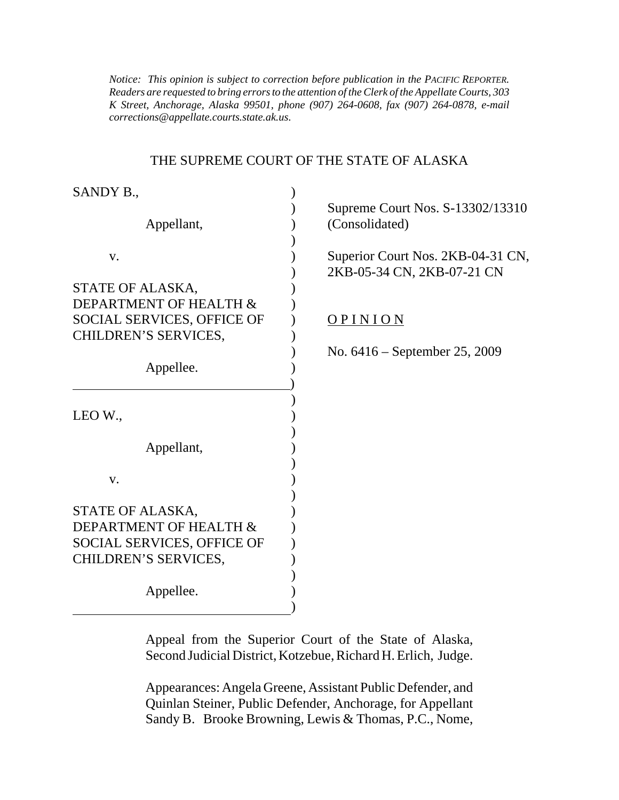*K Street, Anchorage, Alaska 99501, phone (907) 264-0608, fax (907) 264-0878, e-mail Notice: This opinion is subject to correction before publication in the PACIFIC REPORTER. Readers are requested to bring errors to the attention of the Clerk of the Appellate Courts, 303 corrections@appellate.courts.state.ak.us*.

#### THE SUPREME COURT OF THE STATE OF ALASKA

| SANDY B.,                         |                                                                 |
|-----------------------------------|-----------------------------------------------------------------|
|                                   | Supreme Court Nos. S-13302/13310                                |
| Appellant,                        | (Consolidated)                                                  |
|                                   |                                                                 |
| V.                                | Superior Court Nos. 2KB-04-31 CN,<br>2KB-05-34 CN, 2KB-07-21 CN |
| STATE OF ALASKA,                  |                                                                 |
| DEPARTMENT OF HEALTH &            |                                                                 |
| SOCIAL SERVICES, OFFICE OF        | <u>OPINION</u>                                                  |
| CHILDREN'S SERVICES,              |                                                                 |
|                                   | No. $6416$ – September 25, 2009                                 |
| Appellee.                         |                                                                 |
|                                   |                                                                 |
|                                   |                                                                 |
| LEO W.,                           |                                                                 |
|                                   |                                                                 |
| Appellant,                        |                                                                 |
|                                   |                                                                 |
| V.                                |                                                                 |
|                                   |                                                                 |
| STATE OF ALASKA,                  |                                                                 |
| DEPARTMENT OF HEALTH &            |                                                                 |
| <b>SOCIAL SERVICES, OFFICE OF</b> |                                                                 |
| CHILDREN'S SERVICES,              |                                                                 |
|                                   |                                                                 |
| Appellee.                         |                                                                 |
|                                   |                                                                 |

Appeal from the Superior Court of the State of Alaska, Second Judicial District, Kotzebue, Richard H. Erlich, Judge.

Appearances: Angela Greene, Assistant Public Defender, and Quinlan Steiner, Public Defender, Anchorage, for Appellant Sandy B. Brooke Browning, Lewis & Thomas, P.C., Nome,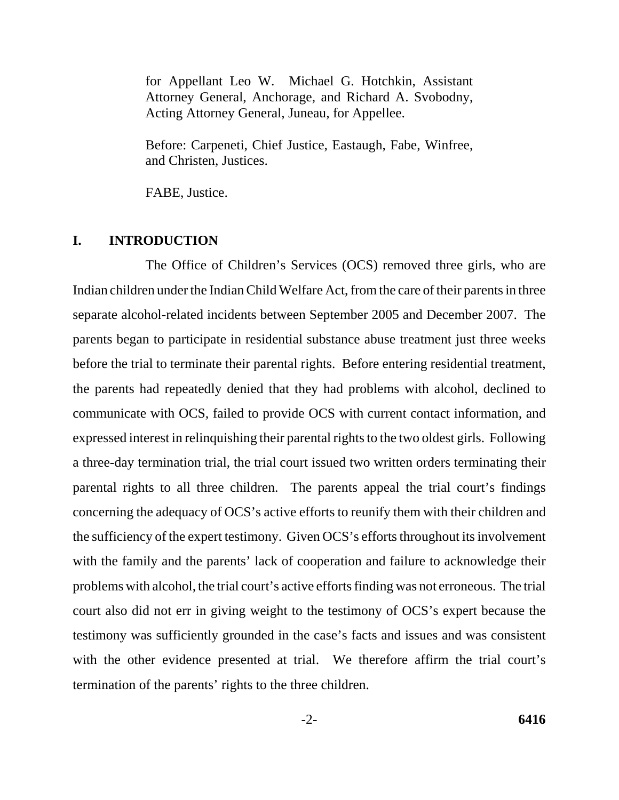for Appellant Leo W. Michael G. Hotchkin, Assistant Attorney General, Anchorage, and Richard A. Svobodny, Acting Attorney General, Juneau, for Appellee.

Before: Carpeneti, Chief Justice, Eastaugh, Fabe, Winfree, and Christen, Justices.

FABE, Justice.

## **I. INTRODUCTION**

The Office of Children's Services (OCS) removed three girls, who are Indian children under the Indian Child Welfare Act, from the care of their parents in three separate alcohol-related incidents between September 2005 and December 2007. The parents began to participate in residential substance abuse treatment just three weeks before the trial to terminate their parental rights. Before entering residential treatment, the parents had repeatedly denied that they had problems with alcohol, declined to communicate with OCS, failed to provide OCS with current contact information, and expressed interest in relinquishing their parental rights to the two oldest girls. Following a three-day termination trial, the trial court issued two written orders terminating their parental rights to all three children. The parents appeal the trial court's findings concerning the adequacy of OCS's active efforts to reunify them with their children and the sufficiency of the expert testimony. Given OCS's efforts throughout its involvement with the family and the parents' lack of cooperation and failure to acknowledge their problems with alcohol, the trial court's active efforts finding was not erroneous. The trial court also did not err in giving weight to the testimony of OCS's expert because the testimony was sufficiently grounded in the case's facts and issues and was consistent with the other evidence presented at trial. We therefore affirm the trial court's termination of the parents' rights to the three children.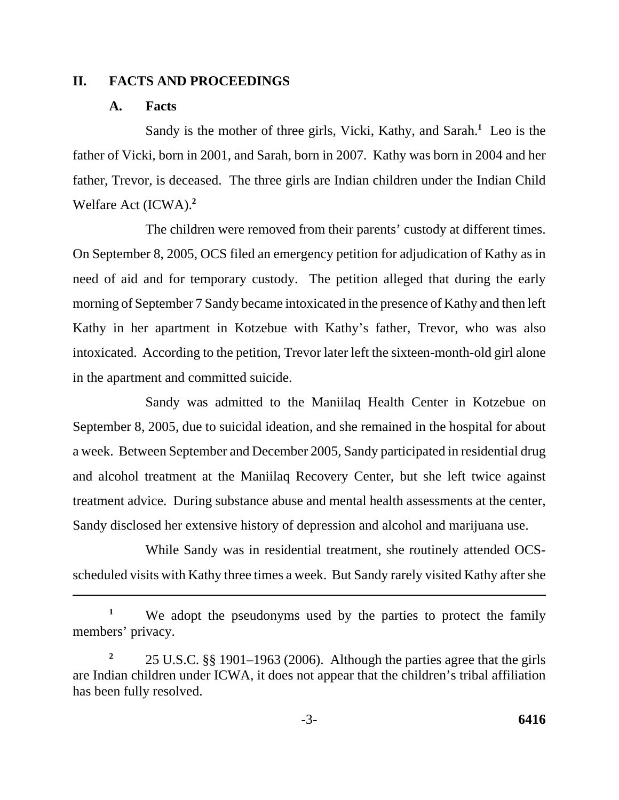### **II. FACTS AND PROCEEDINGS**

### **A. Facts**

Sandy is the mother of three girls, Vicki, Kathy, and Sarah.**<sup>1</sup>** Leo is the father of Vicki, born in 2001, and Sarah, born in 2007. Kathy was born in 2004 and her father, Trevor, is deceased. The three girls are Indian children under the Indian Child Welfare Act (ICWA).**<sup>2</sup>**

The children were removed from their parents' custody at different times. On September 8, 2005, OCS filed an emergency petition for adjudication of Kathy as in need of aid and for temporary custody. The petition alleged that during the early morning of September 7 Sandy became intoxicated in the presence of Kathy and then left Kathy in her apartment in Kotzebue with Kathy's father, Trevor, who was also intoxicated. According to the petition, Trevor later left the sixteen-month-old girl alone in the apartment and committed suicide.

Sandy was admitted to the Maniilaq Health Center in Kotzebue on September 8, 2005, due to suicidal ideation, and she remained in the hospital for about a week. Between September and December 2005, Sandy participated in residential drug and alcohol treatment at the Maniilaq Recovery Center, but she left twice against treatment advice. During substance abuse and mental health assessments at the center, Sandy disclosed her extensive history of depression and alcohol and marijuana use.

While Sandy was in residential treatment, she routinely attended OCSscheduled visits with Kathy three times a week. But Sandy rarely visited Kathy after she

<sup>1</sup> We adopt the pseudonyms used by the parties to protect the family members' privacy.

**<sup>2</sup>**25 U.S.C. §§ 1901–1963 (2006). Although the parties agree that the girls are Indian children under ICWA, it does not appear that the children's tribal affiliation has been fully resolved.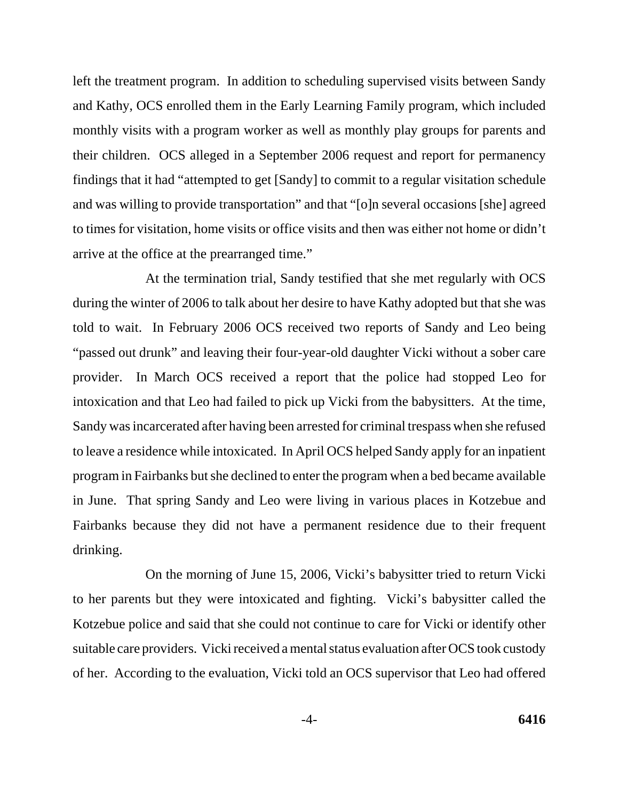left the treatment program. In addition to scheduling supervised visits between Sandy and Kathy, OCS enrolled them in the Early Learning Family program, which included monthly visits with a program worker as well as monthly play groups for parents and their children. OCS alleged in a September 2006 request and report for permanency findings that it had "attempted to get [Sandy] to commit to a regular visitation schedule and was willing to provide transportation" and that "[o]n several occasions [she] agreed to times for visitation, home visits or office visits and then was either not home or didn't arrive at the office at the prearranged time."

At the termination trial, Sandy testified that she met regularly with OCS during the winter of 2006 to talk about her desire to have Kathy adopted but that she was told to wait. In February 2006 OCS received two reports of Sandy and Leo being "passed out drunk" and leaving their four-year-old daughter Vicki without a sober care provider. In March OCS received a report that the police had stopped Leo for intoxication and that Leo had failed to pick up Vicki from the babysitters. At the time, Sandy was incarcerated after having been arrested for criminal trespass when she refused to leave a residence while intoxicated. In April OCS helped Sandy apply for an inpatient program in Fairbanks but she declined to enter the program when a bed became available in June. That spring Sandy and Leo were living in various places in Kotzebue and Fairbanks because they did not have a permanent residence due to their frequent drinking.

On the morning of June 15, 2006, Vicki's babysitter tried to return Vicki to her parents but they were intoxicated and fighting. Vicki's babysitter called the Kotzebue police and said that she could not continue to care for Vicki or identify other suitable care providers. Vicki received a mental status evaluation after OCS took custody of her. According to the evaluation, Vicki told an OCS supervisor that Leo had offered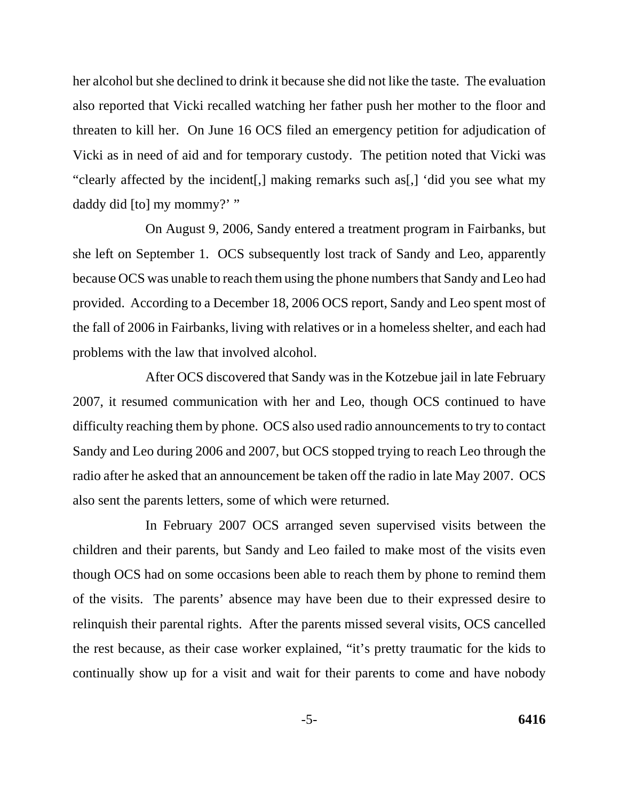her alcohol but she declined to drink it because she did not like the taste. The evaluation also reported that Vicki recalled watching her father push her mother to the floor and threaten to kill her. On June 16 OCS filed an emergency petition for adjudication of Vicki as in need of aid and for temporary custody. The petition noted that Vicki was "clearly affected by the incident[,] making remarks such as[,] 'did you see what my daddy did [to] my mommy?' "

On August 9, 2006, Sandy entered a treatment program in Fairbanks, but she left on September 1. OCS subsequently lost track of Sandy and Leo, apparently because OCS was unable to reach them using the phone numbers that Sandy and Leo had provided. According to a December 18, 2006 OCS report, Sandy and Leo spent most of the fall of 2006 in Fairbanks, living with relatives or in a homeless shelter, and each had problems with the law that involved alcohol.

After OCS discovered that Sandy was in the Kotzebue jail in late February 2007, it resumed communication with her and Leo, though OCS continued to have difficulty reaching them by phone. OCS also used radio announcements to try to contact Sandy and Leo during 2006 and 2007, but OCS stopped trying to reach Leo through the radio after he asked that an announcement be taken off the radio in late May 2007. OCS also sent the parents letters, some of which were returned.

In February 2007 OCS arranged seven supervised visits between the children and their parents, but Sandy and Leo failed to make most of the visits even though OCS had on some occasions been able to reach them by phone to remind them of the visits. The parents' absence may have been due to their expressed desire to relinquish their parental rights. After the parents missed several visits, OCS cancelled the rest because, as their case worker explained, "it's pretty traumatic for the kids to continually show up for a visit and wait for their parents to come and have nobody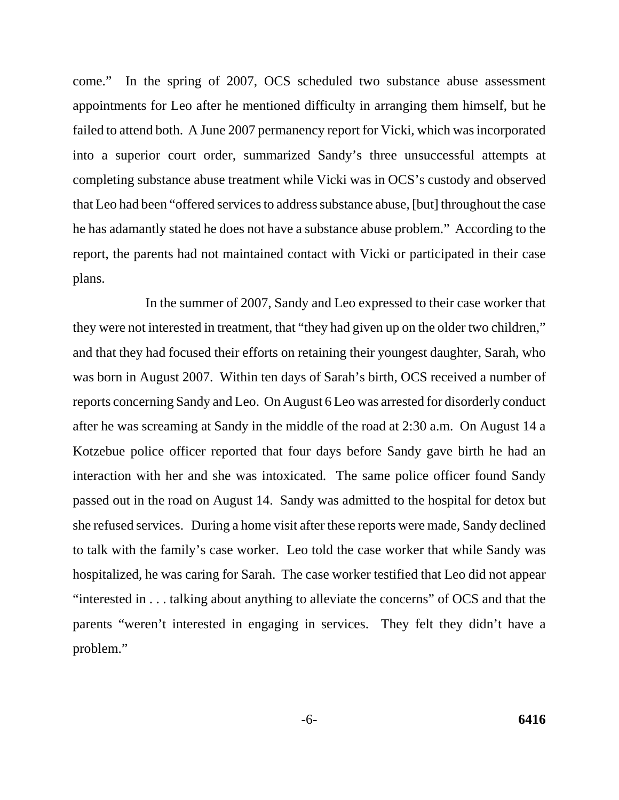come." In the spring of 2007, OCS scheduled two substance abuse assessment appointments for Leo after he mentioned difficulty in arranging them himself, but he failed to attend both. A June 2007 permanency report for Vicki, which was incorporated into a superior court order, summarized Sandy's three unsuccessful attempts at completing substance abuse treatment while Vicki was in OCS's custody and observed that Leo had been "offered services to address substance abuse, [but] throughout the case he has adamantly stated he does not have a substance abuse problem." According to the report, the parents had not maintained contact with Vicki or participated in their case plans.

In the summer of 2007, Sandy and Leo expressed to their case worker that they were not interested in treatment, that "they had given up on the older two children," and that they had focused their efforts on retaining their youngest daughter, Sarah, who was born in August 2007. Within ten days of Sarah's birth, OCS received a number of reports concerning Sandy and Leo. On August 6 Leo was arrested for disorderly conduct after he was screaming at Sandy in the middle of the road at 2:30 a.m. On August 14 a Kotzebue police officer reported that four days before Sandy gave birth he had an interaction with her and she was intoxicated. The same police officer found Sandy passed out in the road on August 14. Sandy was admitted to the hospital for detox but she refused services. During a home visit after these reports were made, Sandy declined to talk with the family's case worker. Leo told the case worker that while Sandy was hospitalized, he was caring for Sarah. The case worker testified that Leo did not appear "interested in . . . talking about anything to alleviate the concerns" of OCS and that the parents "weren't interested in engaging in services. They felt they didn't have a problem."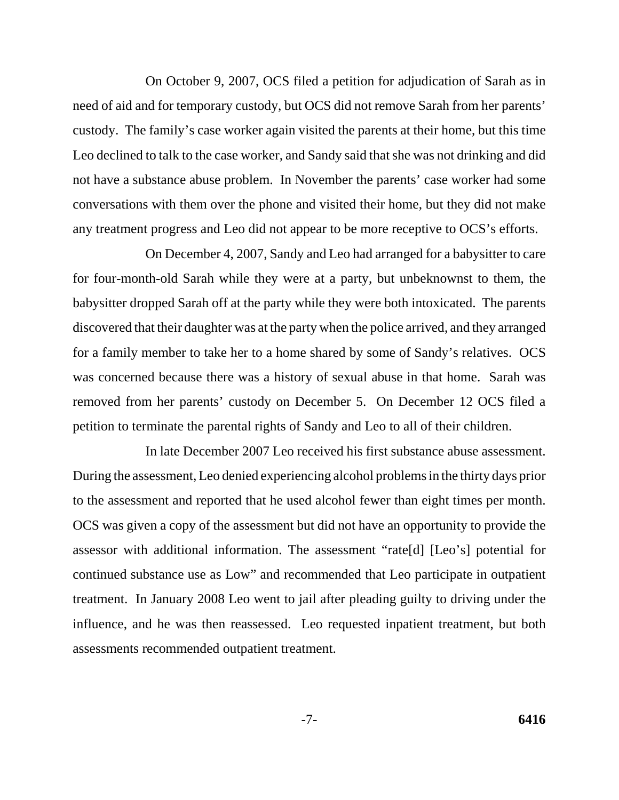On October 9, 2007, OCS filed a petition for adjudication of Sarah as in need of aid and for temporary custody, but OCS did not remove Sarah from her parents' custody. The family's case worker again visited the parents at their home, but this time Leo declined to talk to the case worker, and Sandy said that she was not drinking and did not have a substance abuse problem. In November the parents' case worker had some conversations with them over the phone and visited their home, but they did not make any treatment progress and Leo did not appear to be more receptive to OCS's efforts.

On December 4, 2007, Sandy and Leo had arranged for a babysitter to care for four-month-old Sarah while they were at a party, but unbeknownst to them, the babysitter dropped Sarah off at the party while they were both intoxicated. The parents discovered that their daughter was at the party when the police arrived, and they arranged for a family member to take her to a home shared by some of Sandy's relatives. OCS was concerned because there was a history of sexual abuse in that home. Sarah was removed from her parents' custody on December 5. On December 12 OCS filed a petition to terminate the parental rights of Sandy and Leo to all of their children.

In late December 2007 Leo received his first substance abuse assessment. During the assessment, Leo denied experiencing alcohol problems in the thirty days prior to the assessment and reported that he used alcohol fewer than eight times per month. OCS was given a copy of the assessment but did not have an opportunity to provide the assessor with additional information. The assessment "rate[d] [Leo's] potential for continued substance use as Low" and recommended that Leo participate in outpatient treatment. In January 2008 Leo went to jail after pleading guilty to driving under the influence, and he was then reassessed. Leo requested inpatient treatment, but both assessments recommended outpatient treatment.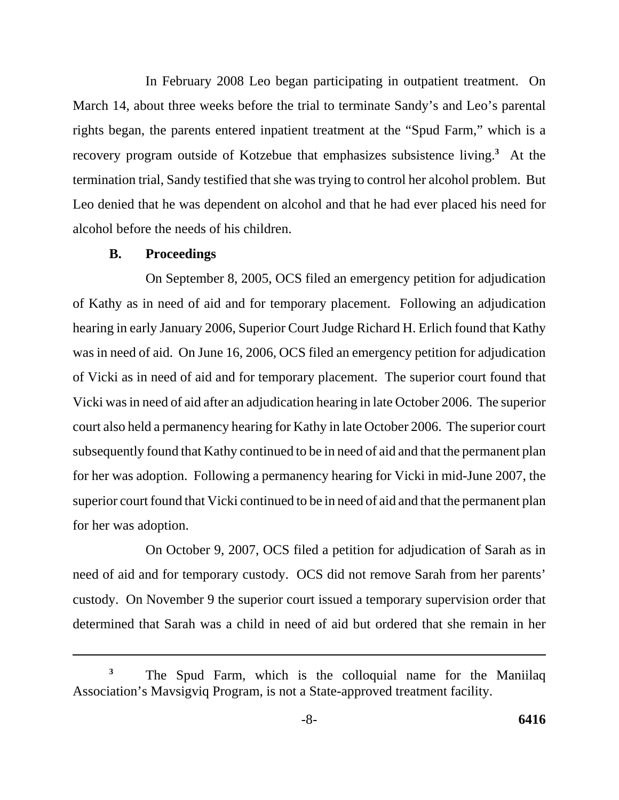In February 2008 Leo began participating in outpatient treatment. On March 14, about three weeks before the trial to terminate Sandy's and Leo's parental rights began, the parents entered inpatient treatment at the "Spud Farm," which is a recovery program outside of Kotzebue that emphasizes subsistence living.**<sup>3</sup>** At the termination trial, Sandy testified that she was trying to control her alcohol problem. But Leo denied that he was dependent on alcohol and that he had ever placed his need for alcohol before the needs of his children.

#### **B. Proceedings**

On September 8, 2005, OCS filed an emergency petition for adjudication of Kathy as in need of aid and for temporary placement. Following an adjudication hearing in early January 2006, Superior Court Judge Richard H. Erlich found that Kathy was in need of aid. On June 16, 2006, OCS filed an emergency petition for adjudication of Vicki as in need of aid and for temporary placement. The superior court found that Vicki was in need of aid after an adjudication hearing in late October 2006. The superior court also held a permanency hearing for Kathy in late October 2006. The superior court subsequently found that Kathy continued to be in need of aid and that the permanent plan for her was adoption. Following a permanency hearing for Vicki in mid-June 2007, the superior court found that Vicki continued to be in need of aid and that the permanent plan for her was adoption.

On October 9, 2007, OCS filed a petition for adjudication of Sarah as in need of aid and for temporary custody. OCS did not remove Sarah from her parents' custody. On November 9 the superior court issued a temporary supervision order that determined that Sarah was a child in need of aid but ordered that she remain in her

The Spud Farm, which is the colloquial name for the Maniilaq Association's Mavsigviq Program, is not a State-approved treatment facility. **3**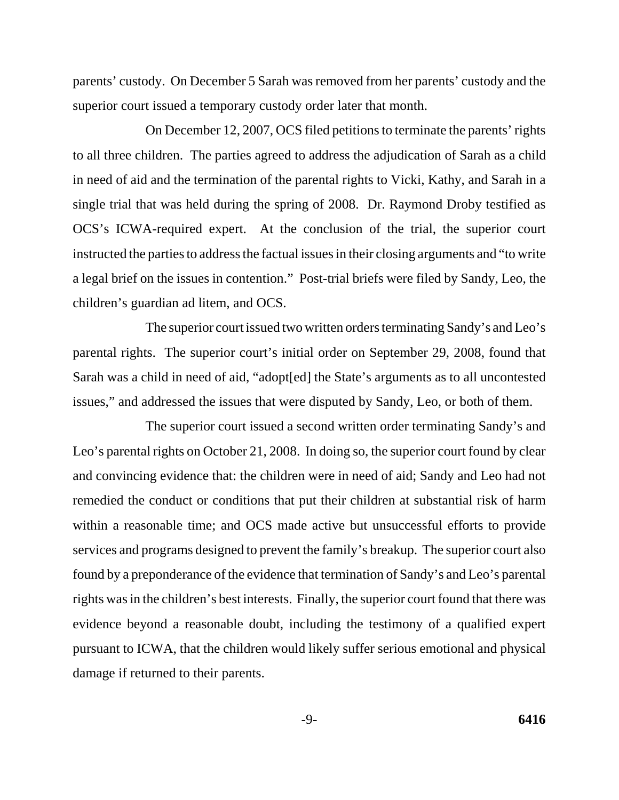parents' custody. On December 5 Sarah was removed from her parents' custody and the superior court issued a temporary custody order later that month.

On December 12, 2007, OCS filed petitions to terminate the parents' rights to all three children. The parties agreed to address the adjudication of Sarah as a child in need of aid and the termination of the parental rights to Vicki, Kathy, and Sarah in a single trial that was held during the spring of 2008. Dr. Raymond Droby testified as OCS's ICWA-required expert. At the conclusion of the trial, the superior court instructed the parties to address the factual issues in their closing arguments and "to write a legal brief on the issues in contention." Post-trial briefs were filed by Sandy, Leo, the children's guardian ad litem, and OCS.

The superior court issued two written orders terminating Sandy's and Leo's parental rights. The superior court's initial order on September 29, 2008, found that Sarah was a child in need of aid, "adopt[ed] the State's arguments as to all uncontested issues," and addressed the issues that were disputed by Sandy, Leo, or both of them.

The superior court issued a second written order terminating Sandy's and Leo's parental rights on October 21, 2008. In doing so, the superior court found by clear and convincing evidence that: the children were in need of aid; Sandy and Leo had not remedied the conduct or conditions that put their children at substantial risk of harm within a reasonable time; and OCS made active but unsuccessful efforts to provide services and programs designed to prevent the family's breakup. The superior court also found by a preponderance of the evidence that termination of Sandy's and Leo's parental rights was in the children's best interests. Finally, the superior court found that there was evidence beyond a reasonable doubt, including the testimony of a qualified expert pursuant to ICWA, that the children would likely suffer serious emotional and physical damage if returned to their parents.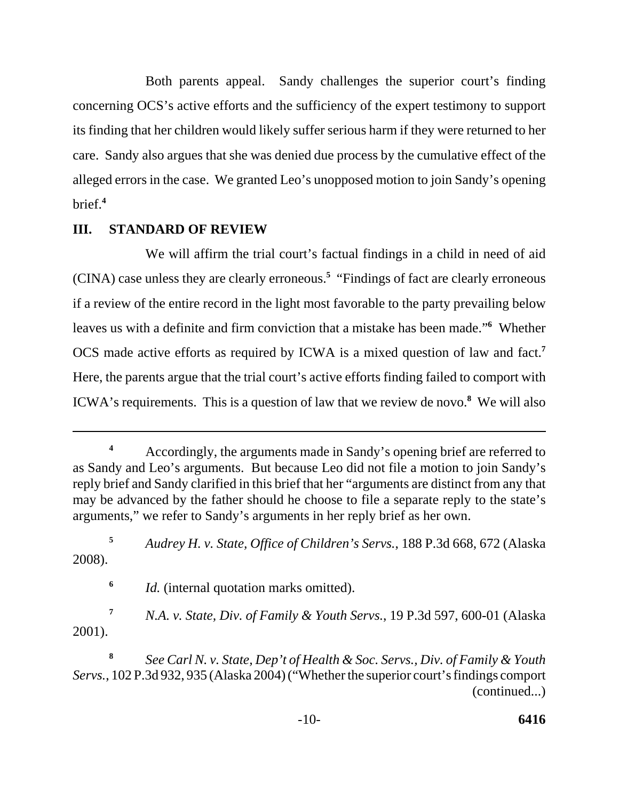Both parents appeal. Sandy challenges the superior court's finding concerning OCS's active efforts and the sufficiency of the expert testimony to support its finding that her children would likely suffer serious harm if they were returned to her care. Sandy also argues that she was denied due process by the cumulative effect of the alleged errors in the case. We granted Leo's unopposed motion to join Sandy's opening brief.**<sup>4</sup>**

## **III. STANDARD OF REVIEW**

We will affirm the trial court's factual findings in a child in need of aid (CINA) case unless they are clearly erroneous.**<sup>5</sup>** "Findings of fact are clearly erroneous if a review of the entire record in the light most favorable to the party prevailing below leaves us with a definite and firm conviction that a mistake has been made."**<sup>6</sup>** Whether OCS made active efforts as required by ICWA is a mixed question of law and fact.**<sup>7</sup>** Here, the parents argue that the trial court's active efforts finding failed to comport with ICWA's requirements. This is a question of law that we review de novo.**<sup>8</sup>** We will also

**<sup>4</sup>**Accordingly, the arguments made in Sandy's opening brief are referred to as Sandy and Leo's arguments. But because Leo did not file a motion to join Sandy's reply brief and Sandy clarified in this brief that her "arguments are distinct from any that may be advanced by the father should he choose to file a separate reply to the state's arguments," we refer to Sandy's arguments in her reply brief as her own.

**<sup>5</sup>***Audrey H. v. State, Office of Children's Servs.*, 188 P.3d 668, 672 (Alaska 2008).

**<sup>6</sup>***Id.* (internal quotation marks omitted).

**<sup>7</sup>***N.A. v. State, Div. of Family & Youth Servs.*, 19 P.3d 597, 600-01 (Alaska 2001).

**<sup>8</sup>***See Carl N. v. State, Dep't of Health & Soc. Servs., Div. of Family & Youth Servs.*, 102 P.3d 932, 935 (Alaska 2004) ("Whether the superior court's findings comport (continued...)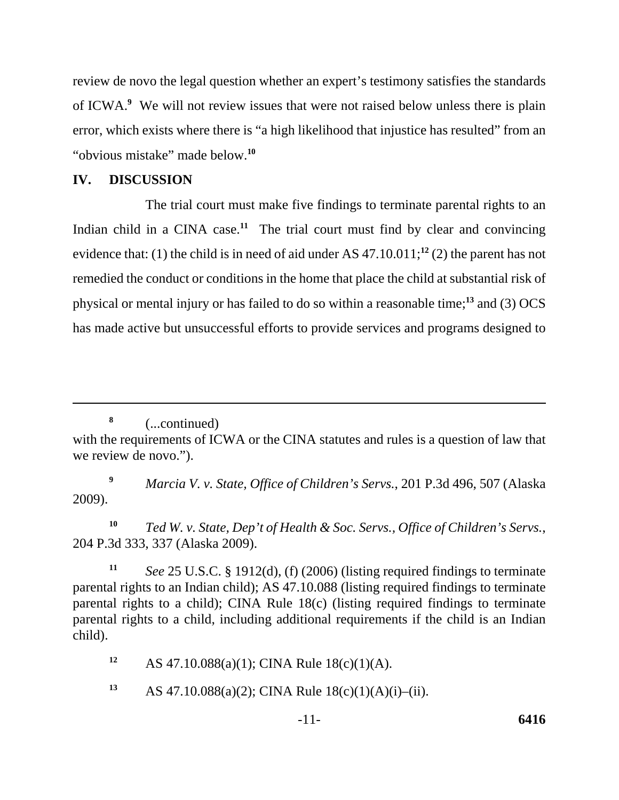review de novo the legal question whether an expert's testimony satisfies the standards of ICWA.**<sup>9</sup>** We will not review issues that were not raised below unless there is plain error, which exists where there is "a high likelihood that injustice has resulted" from an "obvious mistake" made below.**<sup>10</sup>**

## **IV. DISCUSSION**

The trial court must make five findings to terminate parental rights to an Indian child in a CINA case.<sup>11</sup> The trial court must find by clear and convincing evidence that: (1) the child is in need of aid under AS 47.10.011;**<sup>12</sup>** (2) the parent has not remedied the conduct or conditions in the home that place the child at substantial risk of physical or mental injury or has failed to do so within a reasonable time;**<sup>13</sup>** and (3) OCS has made active but unsuccessful efforts to provide services and programs designed to

**<sup>9</sup>***Marcia V. v. State, Office of Children's Servs.*, 201 P.3d 496, 507 (Alaska 2009).

**<sup>10</sup>***Ted W. v. State, Dep't of Health & Soc. Servs., Office of Children's Servs.*, 204 P.3d 333, 337 (Alaska 2009).

**<sup>11</sup>***See* 25 U.S.C. § 1912(d), (f) (2006) (listing required findings to terminate parental rights to an Indian child); AS 47.10.088 (listing required findings to terminate parental rights to a child); CINA Rule 18(c) (listing required findings to terminate parental rights to a child, including additional requirements if the child is an Indian child).

**<sup>12</sup>**AS 47.10.088(a)(1); CINA Rule 18(c)(1)(A).

13 AS 47.10.088(a)(2); CINA Rule  $18(c)(1)(A)(i)$ –(ii).

**<sup>8</sup>**(...continued) with the requirements of ICWA or the CINA statutes and rules is a question of law that we review de novo.").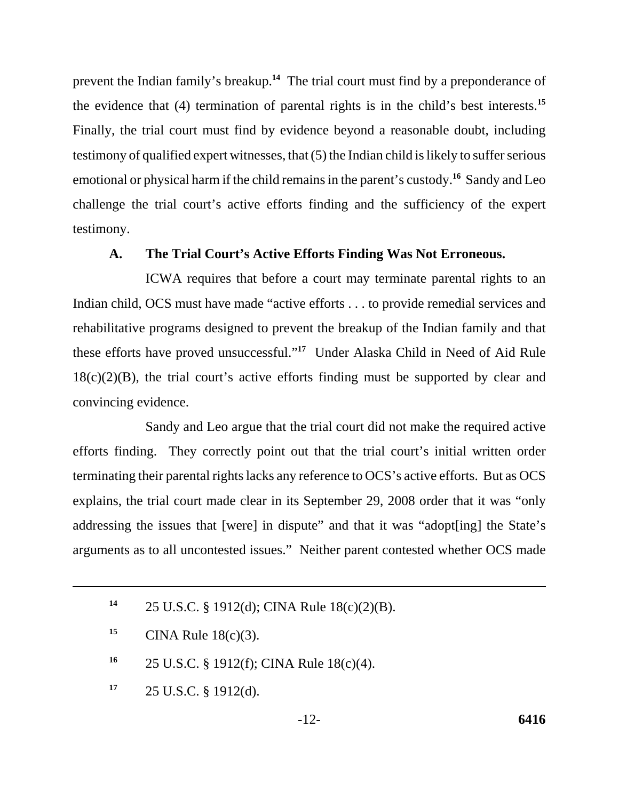prevent the Indian family's breakup.**<sup>14</sup>** The trial court must find by a preponderance of the evidence that (4) termination of parental rights is in the child's best interests.**<sup>15</sup>** Finally, the trial court must find by evidence beyond a reasonable doubt, including testimony of qualified expert witnesses, that (5) the Indian child is likely to suffer serious emotional or physical harm if the child remains in the parent's custody.**<sup>16</sup>** Sandy and Leo challenge the trial court's active efforts finding and the sufficiency of the expert testimony.

### **A. The Trial Court's Active Efforts Finding Was Not Erroneous.**

ICWA requires that before a court may terminate parental rights to an Indian child, OCS must have made "active efforts . . . to provide remedial services and rehabilitative programs designed to prevent the breakup of the Indian family and that these efforts have proved unsuccessful."**<sup>17</sup>** Under Alaska Child in Need of Aid Rule  $18(c)(2)(B)$ , the trial court's active efforts finding must be supported by clear and convincing evidence.

Sandy and Leo argue that the trial court did not make the required active efforts finding. They correctly point out that the trial court's initial written order terminating their parental rights lacks any reference to OCS's active efforts. But as OCS explains, the trial court made clear in its September 29, 2008 order that it was "only addressing the issues that [were] in dispute" and that it was "adopt[ing] the State's arguments as to all uncontested issues." Neither parent contested whether OCS made

**<sup>17</sup>**25 U.S.C. § 1912(d).

**<sup>14</sup>**25 U.S.C. § 1912(d); CINA Rule 18(c)(2)(B).

**<sup>15</sup>** CINA Rule  $18(c)(3)$ .

**<sup>16</sup>**25 U.S.C. § 1912(f); CINA Rule 18(c)(4).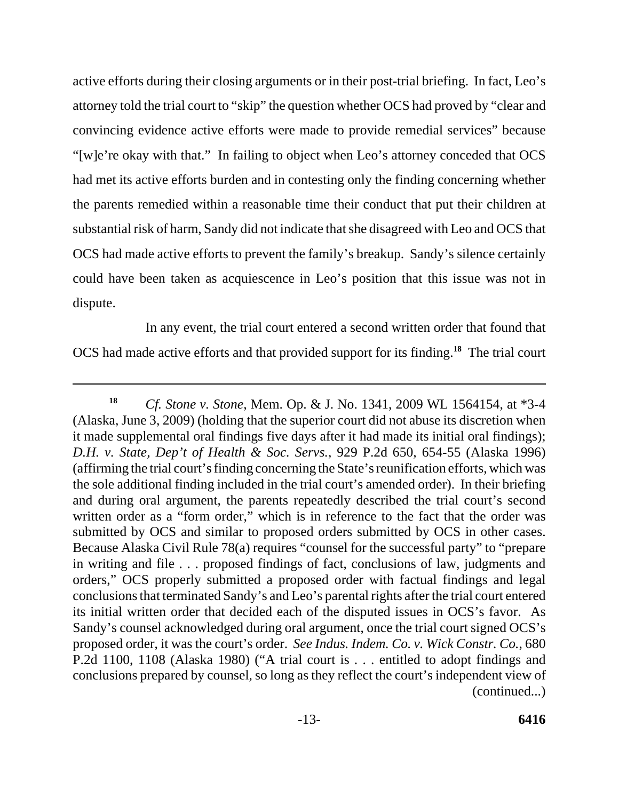active efforts during their closing arguments or in their post-trial briefing. In fact, Leo's attorney told the trial court to "skip" the question whether OCS had proved by "clear and convincing evidence active efforts were made to provide remedial services" because "[w]e're okay with that." In failing to object when Leo's attorney conceded that OCS had met its active efforts burden and in contesting only the finding concerning whether the parents remedied within a reasonable time their conduct that put their children at substantial risk of harm, Sandy did not indicate that she disagreed with Leo and OCS that OCS had made active efforts to prevent the family's breakup. Sandy's silence certainly could have been taken as acquiescence in Leo's position that this issue was not in dispute.

In any event, the trial court entered a second written order that found that OCS had made active efforts and that provided support for its finding.**<sup>18</sup>** The trial court

**<sup>18</sup>***Cf. Stone v. Stone*, Mem. Op. & J. No. 1341, 2009 WL 1564154, at \*3-4 (Alaska, June 3, 2009) (holding that the superior court did not abuse its discretion when it made supplemental oral findings five days after it had made its initial oral findings); *D.H. v. State, Dep't of Health & Soc. Servs.*, 929 P.2d 650, 654-55 (Alaska 1996) (affirming the trial court's finding concerning the State's reunification efforts, which was the sole additional finding included in the trial court's amended order). In their briefing and during oral argument, the parents repeatedly described the trial court's second written order as a "form order," which is in reference to the fact that the order was submitted by OCS and similar to proposed orders submitted by OCS in other cases. Because Alaska Civil Rule 78(a) requires "counsel for the successful party" to "prepare in writing and file . . . proposed findings of fact, conclusions of law, judgments and orders," OCS properly submitted a proposed order with factual findings and legal conclusions that terminated Sandy's and Leo's parental rights after the trial court entered its initial written order that decided each of the disputed issues in OCS's favor. As Sandy's counsel acknowledged during oral argument, once the trial court signed OCS's proposed order, it was the court's order. *See Indus. Indem. Co. v. Wick Constr. Co.*, 680 P.2d 1100, 1108 (Alaska 1980) ("A trial court is . . . entitled to adopt findings and conclusions prepared by counsel, so long as they reflect the court's independent view of (continued...)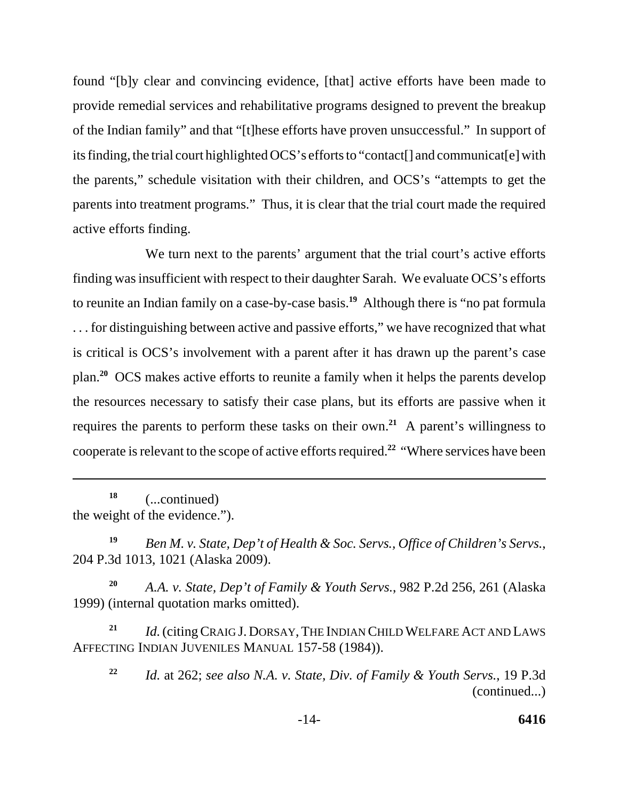found "[b]y clear and convincing evidence, [that] active efforts have been made to provide remedial services and rehabilitative programs designed to prevent the breakup of the Indian family" and that "[t]hese efforts have proven unsuccessful." In support of its finding, the trial court highlighted OCS's efforts to "contact[] and communicat[e] with the parents," schedule visitation with their children, and OCS's "attempts to get the parents into treatment programs." Thus, it is clear that the trial court made the required active efforts finding.

We turn next to the parents' argument that the trial court's active efforts finding was insufficient with respect to their daughter Sarah. We evaluate OCS's efforts to reunite an Indian family on a case-by-case basis.**<sup>19</sup>** Although there is "no pat formula . . . for distinguishing between active and passive efforts," we have recognized that what is critical is OCS's involvement with a parent after it has drawn up the parent's case plan.**<sup>20</sup>** OCS makes active efforts to reunite a family when it helps the parents develop the resources necessary to satisfy their case plans, but its efforts are passive when it requires the parents to perform these tasks on their own.**<sup>21</sup>** A parent's willingness to cooperate is relevant to the scope of active efforts required.**<sup>22</sup>** "Where services have been

**<sup>18</sup>**(...continued) the weight of the evidence.").

**<sup>19</sup>***Ben M. v. State, Dep't of Health & Soc. Servs., Office of Children's Servs.*, 204 P.3d 1013, 1021 (Alaska 2009).

**<sup>20</sup>***A.A. v. State, Dep't of Family & Youth Servs.*, 982 P.2d 256, 261 (Alaska 1999) (internal quotation marks omitted).

<sup>21</sup> *Id.* (citing CRAIG J. DORSAY, THE INDIAN CHILD WELFARE ACT AND LAWS AFFECTING INDIAN JUVENILES MANUAL 157-58 (1984)).

**<sup>22</sup>***Id.* at 262; *see also N.A. v. State, Div. of Family & Youth Servs.*, 19 P.3d (continued...)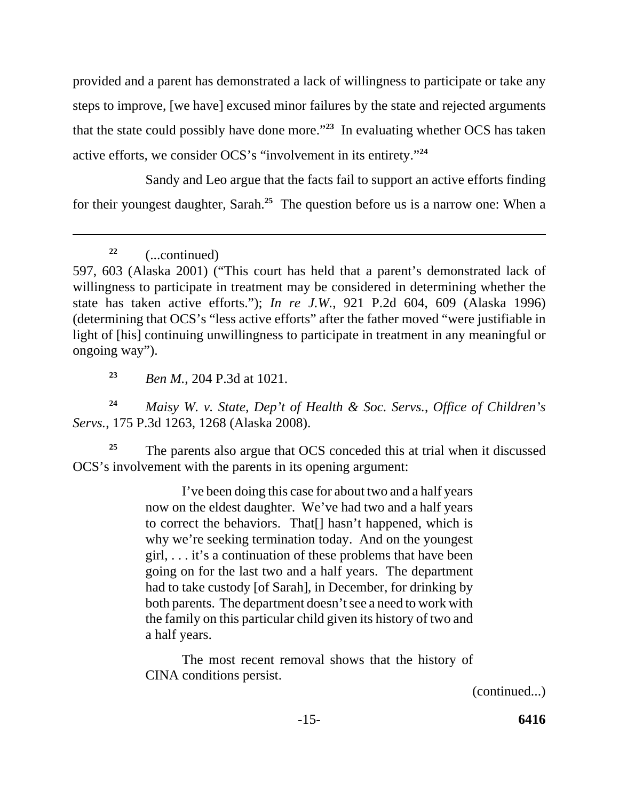provided and a parent has demonstrated a lack of willingness to participate or take any steps to improve, [we have] excused minor failures by the state and rejected arguments that the state could possibly have done more."**<sup>23</sup>** In evaluating whether OCS has taken active efforts, we consider OCS's "involvement in its entirety."**<sup>24</sup>**

Sandy and Leo argue that the facts fail to support an active efforts finding for their youngest daughter, Sarah.**<sup>25</sup>** The question before us is a narrow one: When a

**<sup>23</sup>***Ben M.*, 204 P.3d at 1021.

**<sup>24</sup>***Maisy W. v. State, Dep't of Health & Soc. Servs.*, *Office of Children's Servs.*, 175 P.3d 1263, 1268 (Alaska 2008).

<sup>25</sup> The parents also argue that OCS conceded this at trial when it discussed OCS's involvement with the parents in its opening argument:

> I've been doing this case for about two and a half years now on the eldest daughter. We've had two and a half years to correct the behaviors. That[] hasn't happened, which is why we're seeking termination today. And on the youngest girl, . . . it's a continuation of these problems that have been going on for the last two and a half years. The department had to take custody [of Sarah], in December, for drinking by both parents. The department doesn't see a need to work with the family on this particular child given its history of two and a half years.

> The most recent removal shows that the history of CINA conditions persist.

> > (continued...)

**<sup>22</sup>**(...continued)

<sup>597, 603 (</sup>Alaska 2001) ("This court has held that a parent's demonstrated lack of willingness to participate in treatment may be considered in determining whether the state has taken active efforts."); *In re J.W.*, 921 P.2d 604, 609 (Alaska 1996) (determining that OCS's "less active efforts" after the father moved "were justifiable in light of [his] continuing unwillingness to participate in treatment in any meaningful or ongoing way").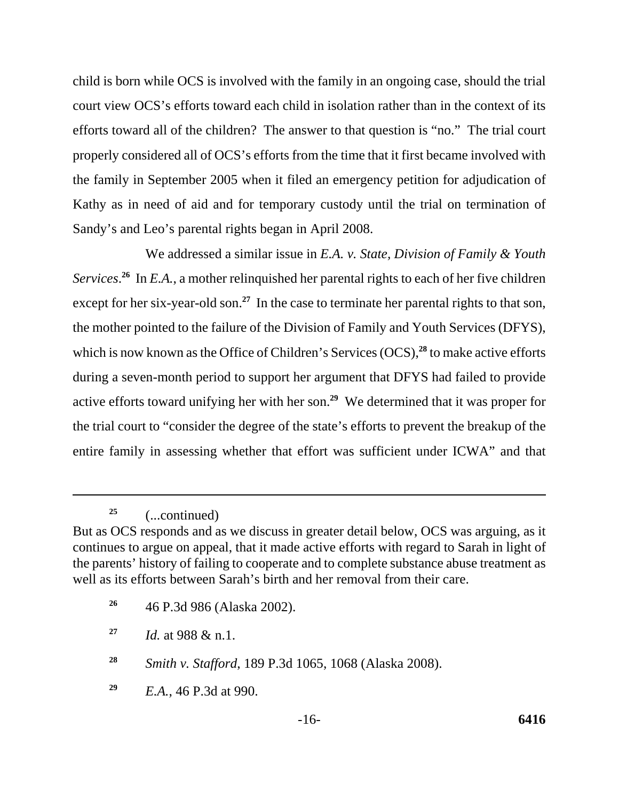child is born while OCS is involved with the family in an ongoing case, should the trial court view OCS's efforts toward each child in isolation rather than in the context of its efforts toward all of the children? The answer to that question is "no." The trial court properly considered all of OCS's efforts from the time that it first became involved with the family in September 2005 when it filed an emergency petition for adjudication of Kathy as in need of aid and for temporary custody until the trial on termination of Sandy's and Leo's parental rights began in April 2008.

We addressed a similar issue in *E.A. v. State, Division of Family & Youth*  Services.<sup>26</sup> In *E.A.*, a mother relinquished her parental rights to each of her five children except for her six-year-old son.<sup>27</sup> In the case to terminate her parental rights to that son, the mother pointed to the failure of the Division of Family and Youth Services (DFYS), which is now known as the Office of Children's Services (OCS),<sup>28</sup> to make active efforts during a seven-month period to support her argument that DFYS had failed to provide active efforts toward unifying her with her son.**<sup>29</sup>** We determined that it was proper for the trial court to "consider the degree of the state's efforts to prevent the breakup of the entire family in assessing whether that effort was sufficient under ICWA" and that

**<sup>25</sup>**(...continued)

**<sup>26</sup>**46 P.3d 986 (Alaska 2002).

But as OCS responds and as we discuss in greater detail below, OCS was arguing, as it continues to argue on appeal, that it made active efforts with regard to Sarah in light of the parents' history of failing to cooperate and to complete substance abuse treatment as well as its efforts between Sarah's birth and her removal from their care.

**<sup>27</sup>***Id.* at 988 & n.1.

**<sup>28</sup>***Smith v. Stafford*, 189 P.3d 1065, 1068 (Alaska 2008).

**<sup>29</sup>***E.A.*, 46 P.3d at 990.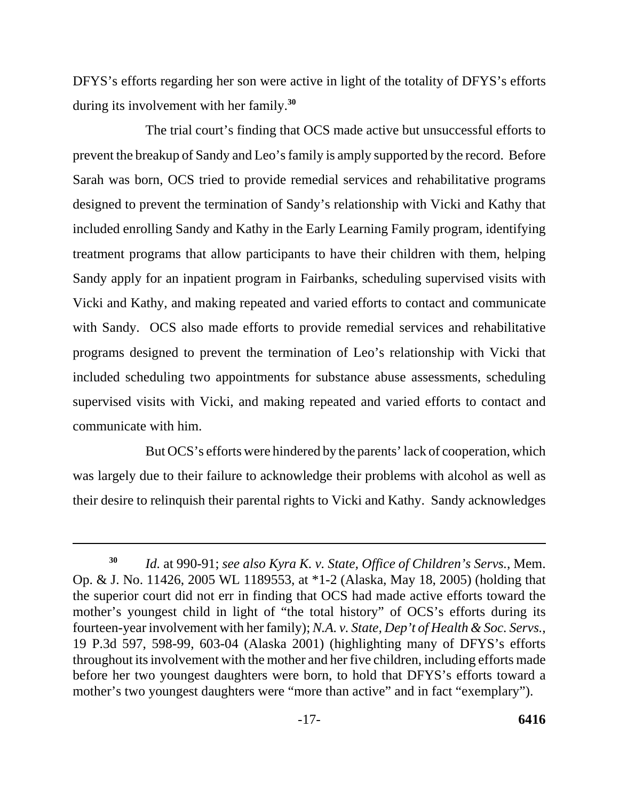DFYS's efforts regarding her son were active in light of the totality of DFYS's efforts during its involvement with her family.**<sup>30</sup>**

The trial court's finding that OCS made active but unsuccessful efforts to prevent the breakup of Sandy and Leo's family is amply supported by the record. Before Sarah was born, OCS tried to provide remedial services and rehabilitative programs designed to prevent the termination of Sandy's relationship with Vicki and Kathy that included enrolling Sandy and Kathy in the Early Learning Family program, identifying treatment programs that allow participants to have their children with them, helping Sandy apply for an inpatient program in Fairbanks, scheduling supervised visits with Vicki and Kathy, and making repeated and varied efforts to contact and communicate with Sandy. OCS also made efforts to provide remedial services and rehabilitative programs designed to prevent the termination of Leo's relationship with Vicki that included scheduling two appointments for substance abuse assessments, scheduling supervised visits with Vicki, and making repeated and varied efforts to contact and communicate with him.

But OCS's efforts were hindered by the parents' lack of cooperation, which was largely due to their failure to acknowledge their problems with alcohol as well as their desire to relinquish their parental rights to Vicki and Kathy. Sandy acknowledges

**<sup>30</sup>***Id.* at 990-91; *see also Kyra K. v. State, Office of Children's Servs.*, Mem. Op. & J. No. 11426, 2005 WL 1189553, at \*1-2 (Alaska, May 18, 2005) (holding that the superior court did not err in finding that OCS had made active efforts toward the mother's youngest child in light of "the total history" of OCS's efforts during its fourteen-year involvement with her family); *N.A. v. State, Dep't of Health & Soc. Servs.*, 19 P.3d 597, 598-99, 603-04 (Alaska 2001) (highlighting many of DFYS's efforts throughout its involvement with the mother and her five children, including efforts made before her two youngest daughters were born, to hold that DFYS's efforts toward a mother's two youngest daughters were "more than active" and in fact "exemplary").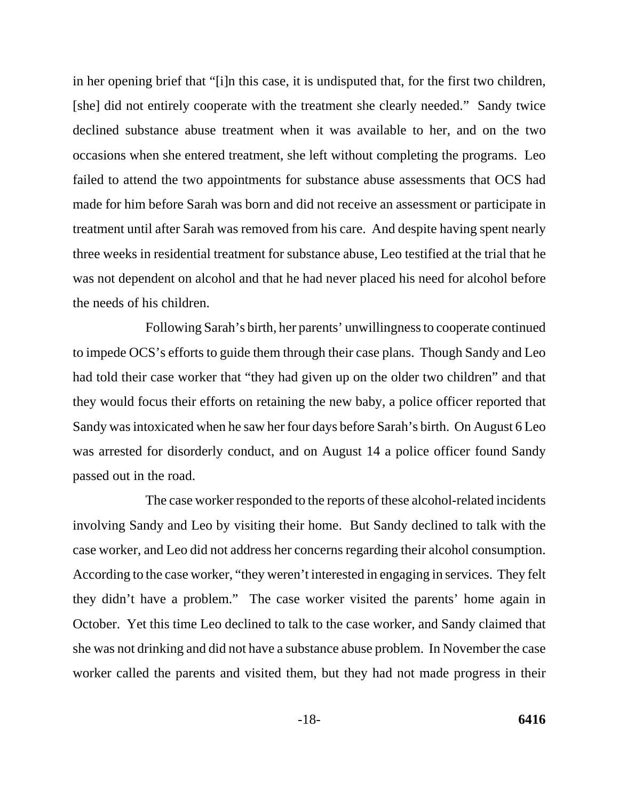in her opening brief that "[i]n this case, it is undisputed that, for the first two children, [she] did not entirely cooperate with the treatment she clearly needed." Sandy twice declined substance abuse treatment when it was available to her, and on the two occasions when she entered treatment, she left without completing the programs. Leo failed to attend the two appointments for substance abuse assessments that OCS had made for him before Sarah was born and did not receive an assessment or participate in treatment until after Sarah was removed from his care. And despite having spent nearly three weeks in residential treatment for substance abuse, Leo testified at the trial that he was not dependent on alcohol and that he had never placed his need for alcohol before the needs of his children.

Following Sarah's birth, her parents' unwillingness to cooperate continued to impede OCS's efforts to guide them through their case plans. Though Sandy and Leo had told their case worker that "they had given up on the older two children" and that they would focus their efforts on retaining the new baby, a police officer reported that Sandy was intoxicated when he saw her four days before Sarah's birth. On August 6 Leo was arrested for disorderly conduct, and on August 14 a police officer found Sandy passed out in the road.

The case worker responded to the reports of these alcohol-related incidents involving Sandy and Leo by visiting their home. But Sandy declined to talk with the case worker, and Leo did not address her concerns regarding their alcohol consumption. According to the case worker, "they weren't interested in engaging in services. They felt they didn't have a problem." The case worker visited the parents' home again in October. Yet this time Leo declined to talk to the case worker, and Sandy claimed that she was not drinking and did not have a substance abuse problem. In November the case worker called the parents and visited them, but they had not made progress in their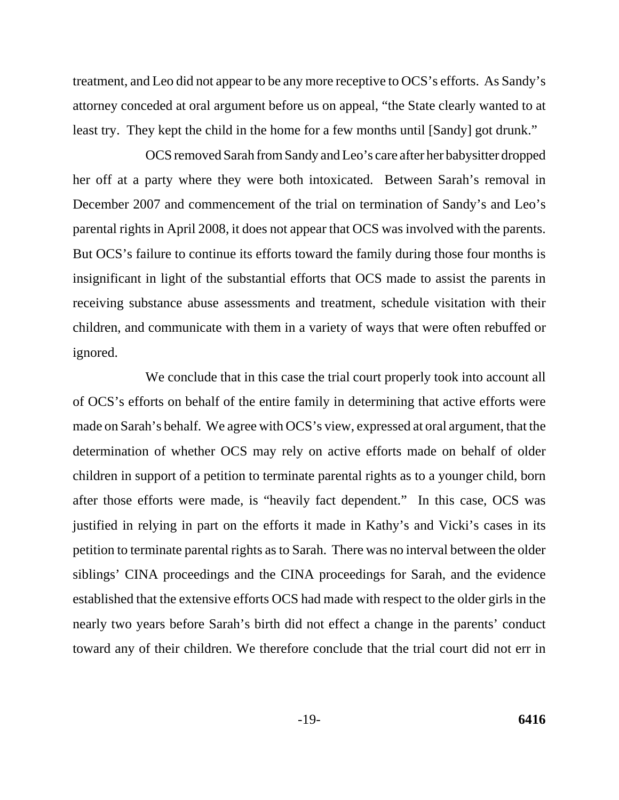treatment, and Leo did not appear to be any more receptive to OCS's efforts. As Sandy's attorney conceded at oral argument before us on appeal, "the State clearly wanted to at least try. They kept the child in the home for a few months until [Sandy] got drunk."

OCS removed Sarah from Sandy and Leo's care after her babysitter dropped her off at a party where they were both intoxicated. Between Sarah's removal in December 2007 and commencement of the trial on termination of Sandy's and Leo's parental rights in April 2008, it does not appear that OCS was involved with the parents. But OCS's failure to continue its efforts toward the family during those four months is insignificant in light of the substantial efforts that OCS made to assist the parents in receiving substance abuse assessments and treatment, schedule visitation with their children, and communicate with them in a variety of ways that were often rebuffed or ignored.

We conclude that in this case the trial court properly took into account all of OCS's efforts on behalf of the entire family in determining that active efforts were made on Sarah's behalf. We agree with OCS's view, expressed at oral argument, that the determination of whether OCS may rely on active efforts made on behalf of older children in support of a petition to terminate parental rights as to a younger child, born after those efforts were made, is "heavily fact dependent." In this case, OCS was justified in relying in part on the efforts it made in Kathy's and Vicki's cases in its petition to terminate parental rights as to Sarah. There was no interval between the older siblings' CINA proceedings and the CINA proceedings for Sarah, and the evidence established that the extensive efforts OCS had made with respect to the older girls in the nearly two years before Sarah's birth did not effect a change in the parents' conduct toward any of their children. We therefore conclude that the trial court did not err in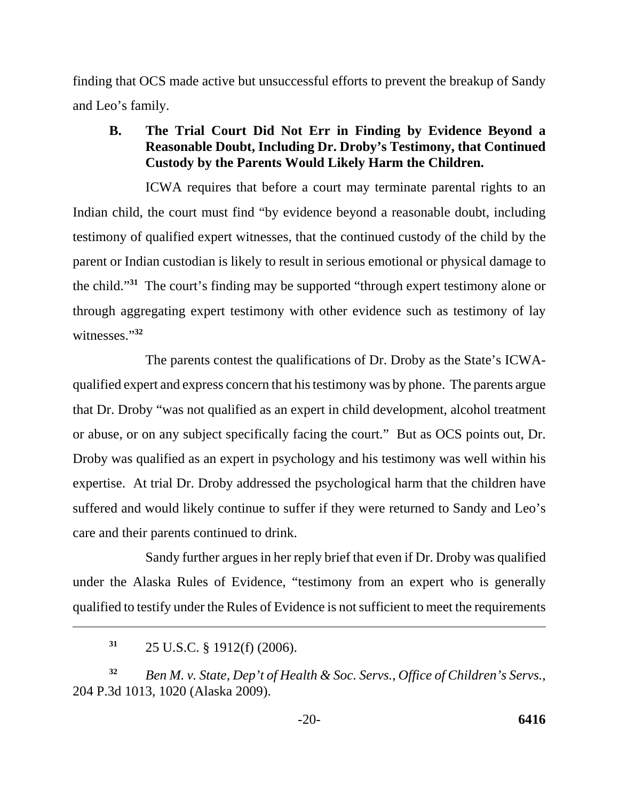finding that OCS made active but unsuccessful efforts to prevent the breakup of Sandy and Leo's family.

# **B. The Trial Court Did Not Err in Finding by Evidence Beyond a Reasonable Doubt, Including Dr. Droby's Testimony, that Continued Custody by the Parents Would Likely Harm the Children.**

ICWA requires that before a court may terminate parental rights to an Indian child, the court must find "by evidence beyond a reasonable doubt, including testimony of qualified expert witnesses, that the continued custody of the child by the parent or Indian custodian is likely to result in serious emotional or physical damage to the child."**<sup>31</sup>** The court's finding may be supported "through expert testimony alone or through aggregating expert testimony with other evidence such as testimony of lay witnesses."**<sup>32</sup>**

The parents contest the qualifications of Dr. Droby as the State's ICWAqualified expert and express concern that his testimony was by phone. The parents argue that Dr. Droby "was not qualified as an expert in child development, alcohol treatment or abuse, or on any subject specifically facing the court." But as OCS points out, Dr. Droby was qualified as an expert in psychology and his testimony was well within his expertise. At trial Dr. Droby addressed the psychological harm that the children have suffered and would likely continue to suffer if they were returned to Sandy and Leo's care and their parents continued to drink.

Sandy further argues in her reply brief that even if Dr. Droby was qualified under the Alaska Rules of Evidence, "testimony from an expert who is generally qualified to testify under the Rules of Evidence is not sufficient to meet the requirements

**<sup>32</sup>***Ben M. v. State, Dep't of Health & Soc. Servs., Office of Children's Servs.*, 204 P.3d 1013, 1020 (Alaska 2009).

**<sup>31</sup>**25 U.S.C. § 1912(f) (2006).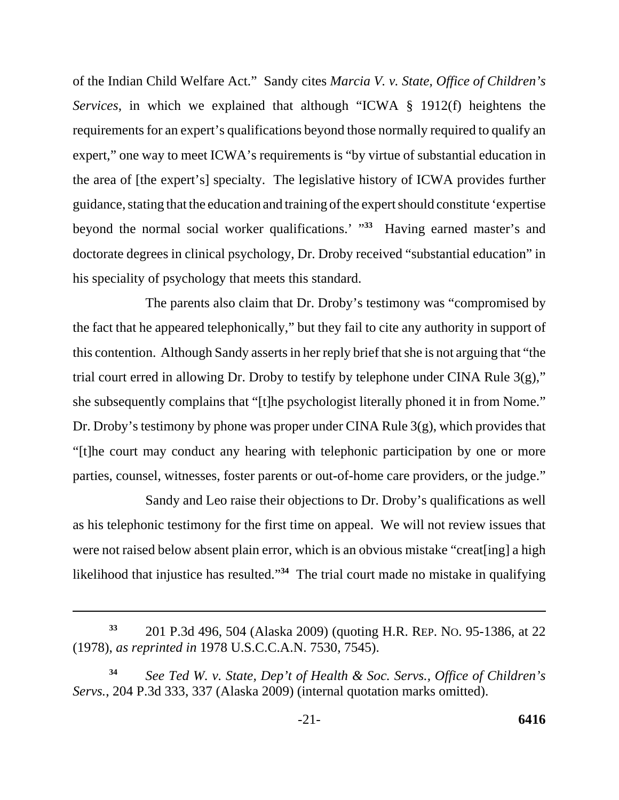of the Indian Child Welfare Act." Sandy cites *Marcia V. v. State, Office of Children's Services*, in which we explained that although "ICWA § 1912(f) heightens the requirements for an expert's qualifications beyond those normally required to qualify an expert," one way to meet ICWA's requirements is "by virtue of substantial education in the area of [the expert's] specialty. The legislative history of ICWA provides further guidance, stating that the education and training of the expert should constitute 'expertise beyond the normal social worker qualifications.' "**<sup>33</sup>** Having earned master's and doctorate degrees in clinical psychology, Dr. Droby received "substantial education" in his speciality of psychology that meets this standard.

The parents also claim that Dr. Droby's testimony was "compromised by the fact that he appeared telephonically," but they fail to cite any authority in support of this contention. Although Sandy asserts in her reply brief that she is not arguing that "the trial court erred in allowing Dr. Droby to testify by telephone under CINA Rule 3(g)," she subsequently complains that "[t]he psychologist literally phoned it in from Nome." Dr. Droby's testimony by phone was proper under CINA Rule 3(g), which provides that "[t]he court may conduct any hearing with telephonic participation by one or more parties, counsel, witnesses, foster parents or out-of-home care providers, or the judge."

Sandy and Leo raise their objections to Dr. Droby's qualifications as well as his telephonic testimony for the first time on appeal. We will not review issues that were not raised below absent plain error, which is an obvious mistake "creat[ing] a high likelihood that injustice has resulted."**<sup>34</sup>** The trial court made no mistake in qualifying

**<sup>33</sup>**201 P.3d 496, 504 (Alaska 2009) (quoting H.R. REP. NO. 95-1386, at 22 (1978), *as reprinted in* 1978 U.S.C.C.A.N. 7530, 7545).

**<sup>34</sup>***See Ted W. v. State, Dep't of Health & Soc. Servs., Office of Children's Servs.*, 204 P.3d 333, 337 (Alaska 2009) (internal quotation marks omitted).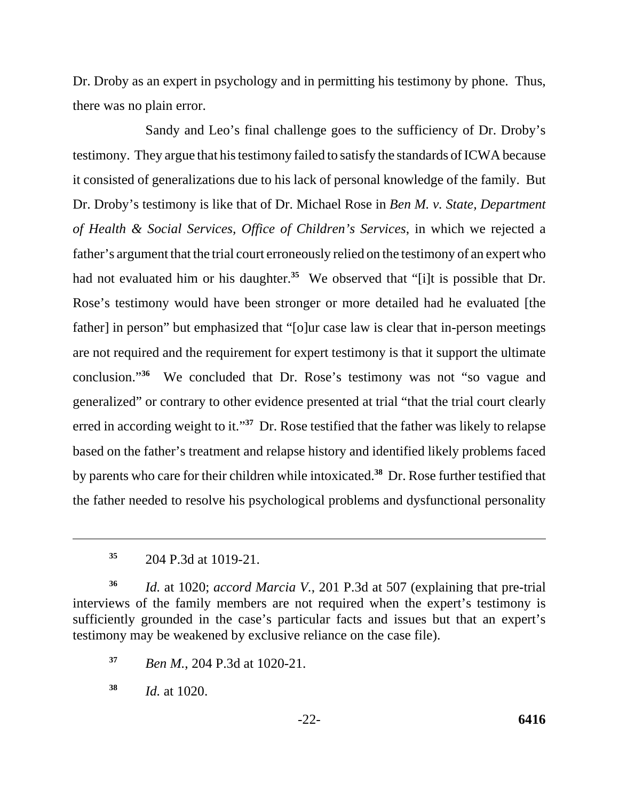Dr. Droby as an expert in psychology and in permitting his testimony by phone. Thus, there was no plain error.

Sandy and Leo's final challenge goes to the sufficiency of Dr. Droby's testimony. They argue that his testimony failed to satisfy the standards of ICWA because it consisted of generalizations due to his lack of personal knowledge of the family. But Dr. Droby's testimony is like that of Dr. Michael Rose in *Ben M. v. State, Department of Health & Social Services, Office of Children's Services*, in which we rejected a father's argument that the trial court erroneously relied on the testimony of an expert who had not evaluated him or his daughter.<sup>35</sup> We observed that "[i]t is possible that Dr. Rose's testimony would have been stronger or more detailed had he evaluated [the father] in person" but emphasized that "[o]ur case law is clear that in-person meetings are not required and the requirement for expert testimony is that it support the ultimate conclusion."**<sup>36</sup>** We concluded that Dr. Rose's testimony was not "so vague and generalized" or contrary to other evidence presented at trial "that the trial court clearly erred in according weight to it."**<sup>37</sup>** Dr. Rose testified that the father was likely to relapse based on the father's treatment and relapse history and identified likely problems faced by parents who care for their children while intoxicated.**<sup>38</sup>** Dr. Rose further testified that the father needed to resolve his psychological problems and dysfunctional personality

**<sup>35</sup>**204 P.3d at 1019-21.

**<sup>36</sup>***Id.* at 1020; *accord Marcia V.*, 201 P.3d at 507 (explaining that pre-trial interviews of the family members are not required when the expert's testimony is sufficiently grounded in the case's particular facts and issues but that an expert's testimony may be weakened by exclusive reliance on the case file).

**<sup>37</sup>***Ben M.*, 204 P.3d at 1020-21.

**<sup>38</sup>***Id.* at 1020.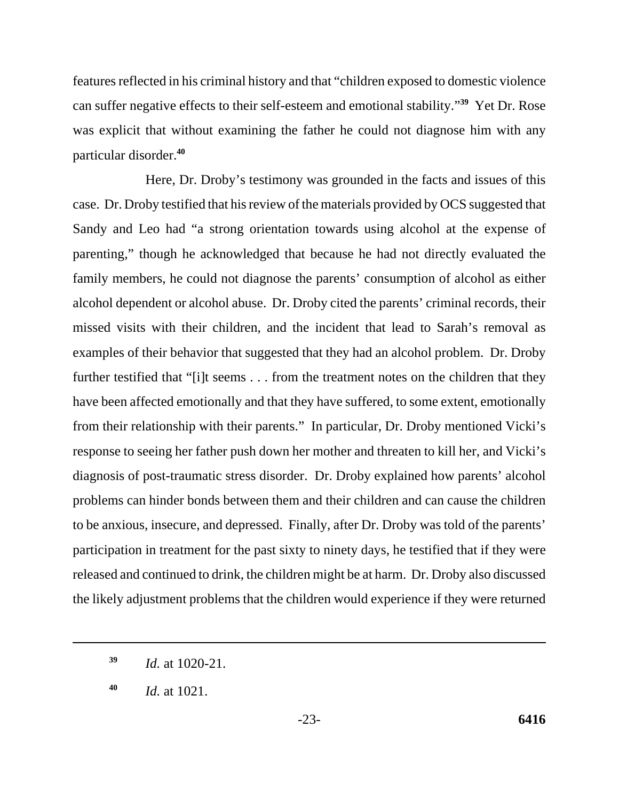features reflected in his criminal history and that "children exposed to domestic violence can suffer negative effects to their self-esteem and emotional stability."**<sup>39</sup>** Yet Dr. Rose was explicit that without examining the father he could not diagnose him with any particular disorder.**<sup>40</sup>**

Here, Dr. Droby's testimony was grounded in the facts and issues of this case. Dr. Droby testified that his review of the materials provided by OCS suggested that Sandy and Leo had "a strong orientation towards using alcohol at the expense of parenting," though he acknowledged that because he had not directly evaluated the family members, he could not diagnose the parents' consumption of alcohol as either alcohol dependent or alcohol abuse. Dr. Droby cited the parents' criminal records, their missed visits with their children, and the incident that lead to Sarah's removal as examples of their behavior that suggested that they had an alcohol problem. Dr. Droby further testified that "[i]t seems . . . from the treatment notes on the children that they have been affected emotionally and that they have suffered, to some extent, emotionally from their relationship with their parents." In particular, Dr. Droby mentioned Vicki's response to seeing her father push down her mother and threaten to kill her, and Vicki's diagnosis of post-traumatic stress disorder. Dr. Droby explained how parents' alcohol problems can hinder bonds between them and their children and can cause the children to be anxious, insecure, and depressed. Finally, after Dr. Droby was told of the parents' participation in treatment for the past sixty to ninety days, he testified that if they were released and continued to drink, the children might be at harm. Dr. Droby also discussed the likely adjustment problems that the children would experience if they were returned

**<sup>39</sup>***Id.* at 1020-21.

**<sup>40</sup>***Id.* at 1021.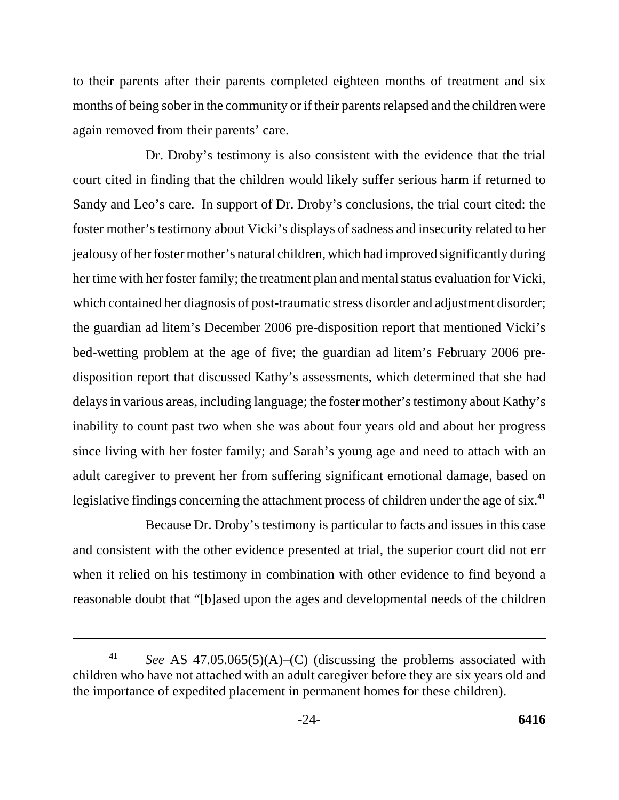to their parents after their parents completed eighteen months of treatment and six months of being sober in the community or if their parents relapsed and the children were again removed from their parents' care.

Dr. Droby's testimony is also consistent with the evidence that the trial court cited in finding that the children would likely suffer serious harm if returned to Sandy and Leo's care. In support of Dr. Droby's conclusions, the trial court cited: the foster mother's testimony about Vicki's displays of sadness and insecurity related to her jealousy of her foster mother's natural children, which had improved significantly during her time with her foster family; the treatment plan and mental status evaluation for Vicki, which contained her diagnosis of post-traumatic stress disorder and adjustment disorder; the guardian ad litem's December 2006 pre-disposition report that mentioned Vicki's bed-wetting problem at the age of five; the guardian ad litem's February 2006 predisposition report that discussed Kathy's assessments, which determined that she had delays in various areas, including language; the foster mother's testimony about Kathy's inability to count past two when she was about four years old and about her progress since living with her foster family; and Sarah's young age and need to attach with an adult caregiver to prevent her from suffering significant emotional damage, based on legislative findings concerning the attachment process of children under the age of six.**<sup>41</sup>**

Because Dr. Droby's testimony is particular to facts and issues in this case and consistent with the other evidence presented at trial, the superior court did not err when it relied on his testimony in combination with other evidence to find beyond a reasonable doubt that "[b]ased upon the ages and developmental needs of the children

*See* AS 47.05.065(5)(A)–(C) (discussing the problems associated with children who have not attached with an adult caregiver before they are six years old and the importance of expedited placement in permanent homes for these children). **41**